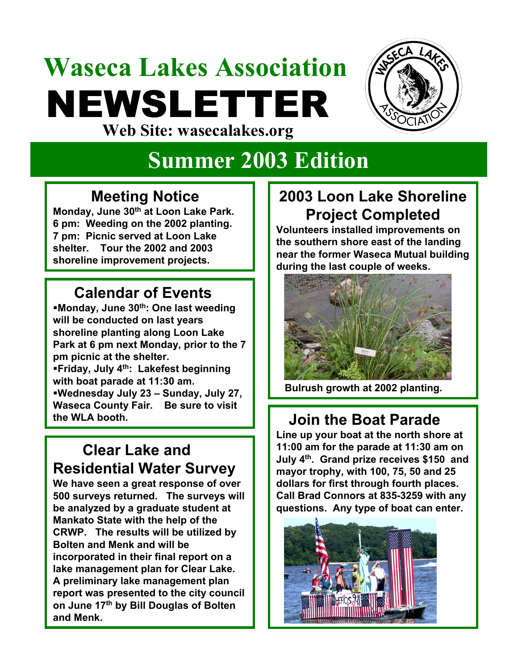## **Waseca Lakes Association** NEWSLETTER **Web Site: wasecalakes.org**



# **Summer 2003 Edition**

#### **Meeting Notice**

**Monday, June 30th at Loon Lake Park. 6 pm: Weeding on the 2002 planting. 7 pm: Picnic served at Loon Lake shelter. Tour the 2002 and 2003 shoreline improvement projects.** 

#### **Calendar of Events**

**Monday, June 30th: One last weeding will be conducted on last years shoreline planting along Loon Lake Park at 6 pm next Monday, prior to the 7 pm picnic at the shelter. Friday, July 4th: Lakefest beginning with boat parade at 11:30 am. Wednesday July 23 – Sunday, July 27, Waseca County Fair. Be sure to visit the WLA booth. Join the Boat Parade**

#### **Clear Lake and Residential Water Survey**

**We have seen a great response of over 500 surveys returned. The surveys will be analyzed by a graduate student at Mankato State with the help of the CRWP. The results will be utilized by Bolten and Menk and will be incorporated in their final report on a lake management plan for Clear Lake. A preliminary lake management plan report was presented to the city council on June 17th by Bill Douglas of Bolten and Menk.**

### **2003 Loon Lake Shoreline Project Completed**

**Volunteers installed improvements on the southern shore east of the landing near the former Waseca Mutual building during the last couple of weeks.**



**Bulrush growth at 2002 planting.**

**Line up your boat at the north shore at 11:00 am for the parade at 11:30 am on July 4th. Grand prize receives \$150 and mayor trophy, with 100, 75, 50 and 25 dollars for first through fourth places. Call Brad Connors at 835-3259 with any questions. Any type of boat can enter.**